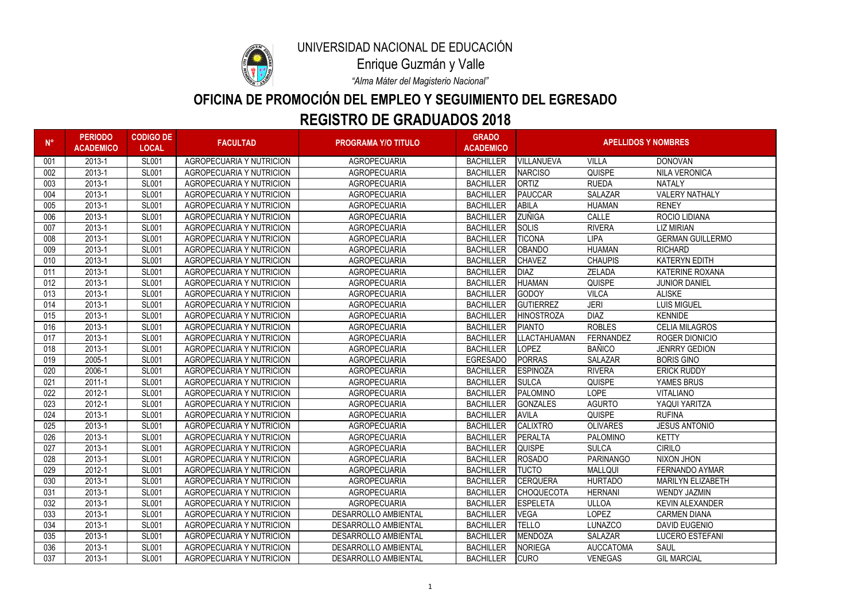| $N^{\circ}$ | <b>PERIODO</b><br><b>ACADEMICO</b> | <b>CODIGO DE</b><br><b>LOCAL</b> | <b>FACULTAD</b>                 | <b>PROGRAMA Y/O TITULO</b>  | <b>GRADO</b><br><b>ACADEMICO</b> | <b>APELLIDOS Y NOMBRES</b> |                  |                          |
|-------------|------------------------------------|----------------------------------|---------------------------------|-----------------------------|----------------------------------|----------------------------|------------------|--------------------------|
| 001         | 2013-1                             | <b>SL001</b>                     | <b>AGROPECUARIA Y NUTRICION</b> | <b>AGROPECUARIA</b>         | <b>BACHILLER</b>                 | <b>VILLANUEVA</b>          | <b>VILLA</b>     | <b>DONOVAN</b>           |
| 002         | 2013-1                             | <b>SL001</b>                     | <b>AGROPECUARIA Y NUTRICION</b> | <b>AGROPECUARIA</b>         | <b>BACHILLER</b>                 | <b>NARCISO</b>             | <b>QUISPE</b>    | <b>NILA VERONICA</b>     |
| 003         | 2013-1                             | <b>SL001</b>                     | AGROPECUARIA Y NUTRICION        | <b>AGROPECUARIA</b>         | <b>BACHILLER</b>                 | <b>ORTIZ</b>               | <b>RUEDA</b>     | <b>NATALY</b>            |
| 004         | 2013-1                             | <b>SL001</b>                     | <b>AGROPECUARIA Y NUTRICION</b> | <b>AGROPECUARIA</b>         | <b>BACHILLER</b>                 | PAUCCAR                    | <b>SALAZAR</b>   | <b>VALERY NATHALY</b>    |
| 005         | 2013-1                             | <b>SL001</b>                     | <b>AGROPECUARIA Y NUTRICION</b> | <b>AGROPECUARIA</b>         | <b>BACHILLER</b>                 | ABILA                      | <b>HUAMAN</b>    | <b>RENEY</b>             |
| 006         | 2013-1                             | <b>SL001</b>                     | <b>AGROPECUARIA Y NUTRICION</b> | <b>AGROPECUARIA</b>         | <b>BACHILLER</b>                 | <b>ZUÑIGA</b>              | CALLE            | ROCIO LIDIANA            |
| 007         | 2013-1                             | <b>SL001</b>                     | <b>AGROPECUARIA Y NUTRICION</b> | <b>AGROPECUARIA</b>         | <b>BACHILLER</b>                 | <b>SOLIS</b>               | <b>RIVERA</b>    | <b>LIZ MIRIAN</b>        |
| 008         | 2013-1                             | <b>SL001</b>                     | <b>AGROPECUARIA Y NUTRICION</b> | <b>AGROPECUARIA</b>         | <b>BACHILLER</b>                 | <b>TICONA</b>              | <b>LIPA</b>      | <b>GERMAN GUILLERMO</b>  |
| 009         | 2013-1                             | <b>SL001</b>                     | <b>AGROPECUARIA Y NUTRICION</b> | <b>AGROPECUARIA</b>         | <b>BACHILLER</b>                 | <b>OBANDO</b>              | <b>HUAMAN</b>    | <b>RICHARD</b>           |
| 010         | 2013-1                             | <b>SL001</b>                     | <b>AGROPECUARIA Y NUTRICION</b> | <b>AGROPECUARIA</b>         | <b>BACHILLER</b>                 | <b>CHAVEZ</b>              | <b>CHAUPIS</b>   | <b>KATERYN EDITH</b>     |
| 011         | 2013-1                             | <b>SL001</b>                     | <b>AGROPECUARIA Y NUTRICION</b> | <b>AGROPECUARIA</b>         | <b>BACHILLER</b>                 | DIAZ                       | ZELADA           | <b>KATERINE ROXANA</b>   |
| 012         | 2013-1                             | <b>SL001</b>                     | <b>AGROPECUARIA Y NUTRICION</b> | <b>AGROPECUARIA</b>         | <b>BACHILLER</b>                 | <b>HUAMAN</b>              | <b>QUISPE</b>    | <b>JUNIOR DANIEL</b>     |
| 013         | 2013-1                             | <b>SL001</b>                     | <b>AGROPECUARIA Y NUTRICION</b> | <b>AGROPECUARIA</b>         | <b>BACHILLER</b>                 | GODOY                      | <b>VILCA</b>     | <b>ALISKE</b>            |
| 014         | 2013-1                             | <b>SL001</b>                     | <b>AGROPECUARIA Y NUTRICION</b> | <b>AGROPECUARIA</b>         | <b>BACHILLER</b>                 | <b>GUTIERREZ</b>           | <b>JERI</b>      | <b>LUIS MIGUEL</b>       |
| 015         | 2013-1                             | <b>SL001</b>                     | <b>AGROPECUARIA Y NUTRICION</b> | <b>AGROPECUARIA</b>         | <b>BACHILLER</b>                 | <b>HINOSTROZA</b>          | <b>DIAZ</b>      | <b>KENNIDE</b>           |
| 016         | 2013-1                             | <b>SL001</b>                     | <b>AGROPECUARIA Y NUTRICION</b> | <b>AGROPECUARIA</b>         | <b>BACHILLER</b>                 | <b>PIANTO</b>              | <b>ROBLES</b>    | <b>CELIA MILAGROS</b>    |
| 017         | 2013-1                             | <b>SL001</b>                     | <b>AGROPECUARIA Y NUTRICION</b> | <b>AGROPECUARIA</b>         | <b>BACHILLER</b>                 | <b>LLACTAHUAMAN</b>        | FERNANDEZ        | ROGER DIONICIO           |
| 018         | 2013-1                             | <b>SL001</b>                     | <b>AGROPECUARIA Y NUTRICION</b> | <b>AGROPECUARIA</b>         | <b>BACHILLER</b>                 | <b>LOPEZ</b>               | <b>BAÑICO</b>    | <b>JENRRY GEDION</b>     |
| 019         | 2005-1                             | <b>SL001</b>                     | <b>AGROPECUARIA Y NUTRICION</b> | <b>AGROPECUARIA</b>         | <b>EGRESADO</b>                  | <b>PORRAS</b>              | <b>SALAZAR</b>   | <b>BORIS GINO</b>        |
| 020         | 2006-1                             | <b>SL001</b>                     | <b>AGROPECUARIA Y NUTRICION</b> | <b>AGROPECUARIA</b>         | <b>BACHILLER</b>                 | <b>ESPINOZA</b>            | <b>RIVERA</b>    | <b>ERICK RUDDY</b>       |
| 021         | $2011 - 1$                         | <b>SL001</b>                     | <b>AGROPECUARIA Y NUTRICION</b> | <b>AGROPECUARIA</b>         | <b>BACHILLER</b>                 | <b>SULCA</b>               | <b>QUISPE</b>    | YAMES BRUS               |
| 022         | 2012-1                             | <b>SL001</b>                     | <b>AGROPECUARIA Y NUTRICION</b> | <b>AGROPECUARIA</b>         | <b>BACHILLER</b>                 | PALOMINO                   | <b>LOPE</b>      | <b>VITALIANO</b>         |
| 023         | 2012-1                             | <b>SL001</b>                     | <b>AGROPECUARIA Y NUTRICION</b> | <b>AGROPECUARIA</b>         | <b>BACHILLER</b>                 | GONZALES                   | <b>AGURTO</b>    | YAQUI YARITZA            |
| 024         | 2013-1                             | <b>SL001</b>                     | <b>AGROPECUARIA Y NUTRICION</b> | <b>AGROPECUARIA</b>         | <b>BACHILLER</b>                 | AVILA                      | <b>QUISPE</b>    | <b>RUFINA</b>            |
| 025         | 2013-1                             | <b>SL001</b>                     | <b>AGROPECUARIA Y NUTRICION</b> | <b>AGROPECUARIA</b>         | <b>BACHILLER</b>                 | <b>CALIXTRO</b>            | <b>OLIVARES</b>  | <b>JESUS ANTONIO</b>     |
| 026         | 2013-1                             | <b>SL001</b>                     | <b>AGROPECUARIA Y NUTRICION</b> | <b>AGROPECUARIA</b>         | <b>BACHILLER</b>                 | PERALTA                    | PALOMINO         | <b>KETTY</b>             |
| 027         | 2013-1                             | <b>SL001</b>                     | <b>AGROPECUARIA Y NUTRICION</b> | <b>AGROPECUARIA</b>         | <b>BACHILLER</b>                 | <b>QUISPE</b>              | <b>SULCA</b>     | <b>CIRILO</b>            |
| 028         | 2013-1                             | <b>SL001</b>                     | AGROPECUARIA Y NUTRICION        | <b>AGROPECUARIA</b>         | <b>BACHILLER</b>                 | ROSADO                     | <b>PARINANGO</b> | NIXON JHON               |
| 029         | 2012-1                             | <b>SL001</b>                     | AGROPECUARIA Y NUTRICION        | AGROPECUARIA                | <b>BACHILLER</b>                 | <b>TUCTO</b>               | <b>MALLQUI</b>   | <b>FERNANDO AYMAR</b>    |
| 030         | 2013-1                             | <b>SL001</b>                     | AGROPECUARIA Y NUTRICION        | <b>AGROPECUARIA</b>         | <b>BACHILLER</b>                 | <b>CERQUERA</b>            | <b>HURTADO</b>   | <b>MARILYN ELIZABETH</b> |
| 031         | 2013-1                             | <b>SL001</b>                     | AGROPECUARIA Y NUTRICION        | <b>AGROPECUARIA</b>         | <b>BACHILLER</b>                 | <b>CHOQUECOTA</b>          | <b>HERNANI</b>   | <b>WENDY JAZMIN</b>      |
| 032         | 2013-1                             | <b>SL001</b>                     | AGROPECUARIA Y NUTRICION        | <b>AGROPECUARIA</b>         | <b>BACHILLER</b>                 | <b>ESPELETA</b>            | <b>ULLOA</b>     | <b>KEVIN ALEXANDER</b>   |
| 033         | 2013-1                             | <b>SL001</b>                     | <b>AGROPECUARIA Y NUTRICION</b> | <b>DESARROLLO AMBIENTAL</b> | <b>BACHILLER</b>                 | <b>VEGA</b>                | <b>LOPEZ</b>     | <b>CARMEN DIANA</b>      |
| 034         | 2013-1                             | <b>SL001</b>                     | AGROPECUARIA Y NUTRICION        | <b>DESARROLLO AMBIENTAL</b> | <b>BACHILLER</b>                 | <b>TELLO</b>               | <b>LUNAZCO</b>   | <b>DAVID EUGENIO</b>     |
| 035         | 2013-1                             | <b>SL001</b>                     | <b>AGROPECUARIA Y NUTRICION</b> | <b>DESARROLLO AMBIENTAL</b> | <b>BACHILLER</b>                 | MENDOZA                    | <b>SALAZAR</b>   | <b>LUCERO ESTEFANI</b>   |
| 036         | 2013-1                             | <b>SL001</b>                     | AGROPECUARIA Y NUTRICION        | <b>DESARROLLO AMBIENTAL</b> | <b>BACHILLER</b>                 | <b>NORIEGA</b>             | <b>AUCCATOMA</b> | <b>SAUL</b>              |
| 037         | 2013-1                             | <b>SL001</b>                     | AGROPECUARIA Y NUTRICION        | DESARROLLO AMBIENTAL        | <b>BACHILLER</b>                 | <b>CURO</b>                | <b>VENEGAS</b>   | <b>GIL MARCIAL</b>       |



# **REGISTRO DE GRADUADOS 2018 OFICINA DE PROMOCIÓN DEL EMPLEO Y SEGUIMIENTO DEL EGRESADO**

*"Alma Máter del Magisterio Nacional"*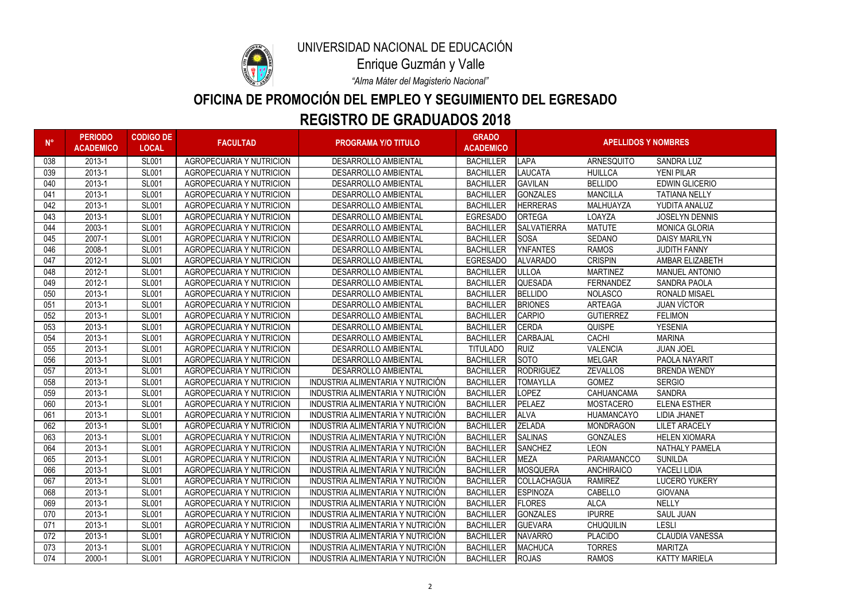

# **REGISTRO DE GRADUADOS 2018 OFICINA DE PROMOCIÓN DEL EMPLEO Y SEGUIMIENTO DEL EGRESADO**

*"Alma Máter del Magisterio Nacional"*

| $N^{\circ}$ | <b>PERIODO</b><br><b>ACADEMICO</b> | <b>CODIGO DE</b><br><b>LOCAL</b> | <b>FACULTAD</b>                 | <b>PROGRAMA Y/O TITULO</b>        | <b>GRADO</b><br><b>ACADEMICO</b> | <b>APELLIDOS Y NOMBRES</b> |                   |                        |
|-------------|------------------------------------|----------------------------------|---------------------------------|-----------------------------------|----------------------------------|----------------------------|-------------------|------------------------|
| 038         | 2013-1                             | <b>SL001</b>                     | <b>AGROPECUARIA Y NUTRICION</b> | <b>DESARROLLO AMBIENTAL</b>       | <b>BACHILLER</b>                 | <b>LAPA</b>                | ARNESQUITO        | <b>SANDRA LUZ</b>      |
| 039         | 2013-1                             | <b>SL001</b>                     | <b>AGROPECUARIA Y NUTRICION</b> | <b>DESARROLLO AMBIENTAL</b>       | <b>BACHILLER</b>                 | <b>LAUCATA</b>             | <b>HUILLCA</b>    | <b>YENI PILAR</b>      |
| 040         | 2013-1                             | <b>SL001</b>                     | <b>AGROPECUARIA Y NUTRICION</b> | <b>DESARROLLO AMBIENTAL</b>       | <b>BACHILLER</b>                 | <b>GAVILAN</b>             | <b>BELLIDO</b>    | <b>EDWIN GLICERIO</b>  |
| 041         | 2013-1                             | <b>SL001</b>                     | <b>AGROPECUARIA Y NUTRICION</b> | <b>DESARROLLO AMBIENTAL</b>       | <b>BACHILLER</b>                 | <b>GONZALES</b>            | <b>MANCILLA</b>   | <b>TATIANA NELLY</b>   |
| 042         | 2013-1                             | <b>SL001</b>                     | <b>AGROPECUARIA Y NUTRICION</b> | <b>DESARROLLO AMBIENTAL</b>       | <b>BACHILLER</b>                 | <b>HERRERAS</b>            | MALHUAYZA         | YUDITA ANALUZ          |
| 043         | 2013-1                             | <b>SL001</b>                     | <b>AGROPECUARIA Y NUTRICION</b> | <b>DESARROLLO AMBIENTAL</b>       | <b>EGRESADO</b>                  | <b>ORTEGA</b>              | LOAYZA            | <b>JOSELYN DENNIS</b>  |
| 044         | 2003-1                             | <b>SL001</b>                     | <b>AGROPECUARIA Y NUTRICION</b> | <b>DESARROLLO AMBIENTAL</b>       | <b>BACHILLER</b>                 | <b>SALVATIERRA</b>         | <b>MATUTE</b>     | <b>MONICA GLORIA</b>   |
| 045         | 2007-1                             | <b>SL001</b>                     | <b>AGROPECUARIA Y NUTRICION</b> | <b>DESARROLLO AMBIENTAL</b>       | <b>BACHILLER</b>                 | <b>SOSA</b>                | <b>SEDANO</b>     | <b>DAISY MARILYN</b>   |
| 046         | 2008-1                             | <b>SL001</b>                     | <b>AGROPECUARIA Y NUTRICION</b> | <b>DESARROLLO AMBIENTAL</b>       | <b>BACHILLER</b>                 | <b>YNFANTES</b>            | <b>RAMOS</b>      | <b>JUDITH FANNY</b>    |
| 047         | 2012-1                             | <b>SL001</b>                     | <b>AGROPECUARIA Y NUTRICION</b> | <b>DESARROLLO AMBIENTAL</b>       | <b>EGRESADO</b>                  | <b>ALVARADO</b>            | <b>CRISPIN</b>    | AMBAR ELIZABETH        |
| 048         | 2012-1                             | <b>SL001</b>                     | <b>AGROPECUARIA Y NUTRICION</b> | <b>DESARROLLO AMBIENTAL</b>       | <b>BACHILLER</b>                 | <b>ULLOA</b>               | <b>MARTINEZ</b>   | <b>MANUEL ANTONIO</b>  |
| 049         | 2012-1                             | <b>SL001</b>                     | <b>AGROPECUARIA Y NUTRICION</b> | <b>DESARROLLO AMBIENTAL</b>       | <b>BACHILLER</b>                 | <b>QUESADA</b>             | <b>FERNANDEZ</b>  | <b>SANDRA PAOLA</b>    |
| 050         | 2013-1                             | <b>SL001</b>                     | <b>AGROPECUARIA Y NUTRICION</b> | <b>DESARROLLO AMBIENTAL</b>       | <b>BACHILLER</b>                 | <b>BELLIDO</b>             | <b>NOLASCO</b>    | <b>RONALD MISAEL</b>   |
| 051         | 2013-1                             | <b>SL001</b>                     | <b>AGROPECUARIA Y NUTRICION</b> | <b>DESARROLLO AMBIENTAL</b>       | <b>BACHILLER</b>                 | <b>BRIONES</b>             | <b>ARTEAGA</b>    | <b>JUAN VÍCTOR</b>     |
| 052         | 2013-1                             | <b>SL001</b>                     | <b>AGROPECUARIA Y NUTRICION</b> | <b>DESARROLLO AMBIENTAL</b>       | <b>BACHILLER</b>                 | <b>CARPIO</b>              | <b>GUTIERREZ</b>  | <b>FELIMON</b>         |
| 053         | 2013-1                             | <b>SL001</b>                     | <b>AGROPECUARIA Y NUTRICION</b> | <b>DESARROLLO AMBIENTAL</b>       | <b>BACHILLER</b>                 | <b>CERDA</b>               | <b>QUISPE</b>     | <b>YESENIA</b>         |
| 054         | 2013-1                             | <b>SL001</b>                     | AGROPECUARIA Y NUTRICION        | <b>DESARROLLO AMBIENTAL</b>       | <b>BACHILLER</b>                 | <b>CARBAJAL</b>            | <b>CACHI</b>      | <b>MARINA</b>          |
| 055         | 2013-1                             | <b>SL001</b>                     | <b>AGROPECUARIA Y NUTRICION</b> | <b>DESARROLLO AMBIENTAL</b>       | <b>TITULADO</b>                  | <b>RUIZ</b>                | <b>VALENCIA</b>   | <b>JUAN JOEL</b>       |
| 056         | 2013-1                             | <b>SL001</b>                     | <b>AGROPECUARIA Y NUTRICION</b> | <b>DESARROLLO AMBIENTAL</b>       | <b>BACHILLER</b>                 | <b>SOTO</b>                | <b>MELGAR</b>     | PAOLA NAYARIT          |
| 057         | 2013-1                             | <b>SL001</b>                     | <b>AGROPECUARIA Y NUTRICION</b> | <b>DESARROLLO AMBIENTAL</b>       | <b>BACHILLER</b>                 | RODRIGUEZ                  | <b>ZEVALLOS</b>   | <b>BRENDA WENDY</b>    |
| 058         | 2013-1                             | <b>SL001</b>                     | <b>AGROPECUARIA Y NUTRICION</b> | INDUSTRIA ALIMENTARIA Y NUTRICIÓN | <b>BACHILLER</b>                 | <b>TOMAYLLA</b>            | <b>GOMEZ</b>      | <b>SERGIO</b>          |
| 059         | 2013-1                             | <b>SL001</b>                     | <b>AGROPECUARIA Y NUTRICION</b> | INDUSTRIA ALIMENTARIA Y NUTRICIÓN | <b>BACHILLER</b>                 | <b>LOPEZ</b>               | CAHUANCAMA        | <b>SANDRA</b>          |
| 060         | 2013-1                             | <b>SL001</b>                     | <b>AGROPECUARIA Y NUTRICION</b> | INDUSTRIA ALIMENTARIA Y NUTRICIÓN | <b>BACHILLER</b>                 | PELAEZ                     | <b>MOSTACERO</b>  | <b>ELENA ESTHER</b>    |
| 061         | 2013-1                             | <b>SL001</b>                     | <b>AGROPECUARIA Y NUTRICION</b> | INDUSTRIA ALIMENTARIA Y NUTRICIÓN | <b>BACHILLER</b>                 | <b>ALVA</b>                | <b>HUAMANCAYO</b> | <b>LIDIA JHANET</b>    |
| 062         | 2013-1                             | <b>SL001</b>                     | <b>AGROPECUARIA Y NUTRICION</b> | INDUSTRIA ALIMENTARIA Y NUTRICIÓN | <b>BACHILLER</b>                 | <b>ZELADA</b>              | <b>MONDRAGON</b>  | <b>LILET ARACELY</b>   |
| 063         | 2013-1                             | <b>SL001</b>                     | <b>AGROPECUARIA Y NUTRICION</b> | INDUSTRIA ALIMENTARIA Y NUTRICIÓN | <b>BACHILLER</b>                 | <b>SALINAS</b>             | <b>GONZALES</b>   | <b>HELEN XIOMARA</b>   |
| 064         | 2013-1                             | <b>SL001</b>                     | <b>AGROPECUARIA Y NUTRICION</b> | INDUSTRIA ALIMENTARIA Y NUTRICIÓN | <b>BACHILLER</b>                 | <b>SANCHEZ</b>             | <b>LEON</b>       | <b>NATHALY PAMELA</b>  |
| 065         | 2013-1                             | <b>SL001</b>                     | AGROPECUARIA Y NUTRICION        | INDUSTRIA ALIMENTARIA Y NUTRICIÓN | <b>BACHILLER</b>                 | <b>MEZA</b>                | PARIAMANCCO       | <b>SUNILDA</b>         |
| 066         | 2013-1                             | <b>SL001</b>                     | <b>AGROPECUARIA Y NUTRICION</b> | INDUSTRIA ALIMENTARIA Y NUTRICIÓN | <b>BACHILLER</b>                 | MOSQUERA                   | <b>ANCHIRAICO</b> | YACELI LIDIA           |
| 067         | 2013-1                             | <b>SL001</b>                     | <b>AGROPECUARIA Y NUTRICION</b> | INDUSTRIA ALIMENTARIA Y NUTRICIÓN | <b>BACHILLER</b>                 | COLLACHAGUA                | <b>RAMIREZ</b>    | <b>LUCERO YUKERY</b>   |
| 068         | 2013-1                             | <b>SL001</b>                     | <b>AGROPECUARIA Y NUTRICION</b> | INDUSTRIA ALIMENTARIA Y NUTRICIÓN | <b>BACHILLER</b>                 | <b>ESPINOZA</b>            | CABELLO           | <b>GIOVANA</b>         |
| 069         | 2013-1                             | <b>SL001</b>                     | <b>AGROPECUARIA Y NUTRICION</b> | INDUSTRIA ALIMENTARIA Y NUTRICIÓN | <b>BACHILLER</b>                 | <b>FLORES</b>              | <b>ALCA</b>       | <b>NELLY</b>           |
| 070         | 2013-1                             | <b>SL001</b>                     | <b>AGROPECUARIA Y NUTRICION</b> | INDUSTRIA ALIMENTARIA Y NUTRICIÓN | <b>BACHILLER</b>                 | <b>GONZALES</b>            | <b>IPURRE</b>     | <b>SAUL JUAN</b>       |
| 071         | 2013-1                             | <b>SL001</b>                     | <b>AGROPECUARIA Y NUTRICION</b> | INDUSTRIA ALIMENTARIA Y NUTRICIÓN | <b>BACHILLER</b>                 | <b>GUEVARA</b>             | <b>CHUQUILIN</b>  | <b>LESLI</b>           |
| 072         | 2013-1                             | <b>SL001</b>                     | <b>AGROPECUARIA Y NUTRICION</b> | INDUSTRIA ALIMENTARIA Y NUTRICIÓN | <b>BACHILLER</b>                 | <b>NAVARRO</b>             | <b>PLACIDO</b>    | <b>CLAUDIA VANESSA</b> |
| 073         | 2013-1                             | <b>SL001</b>                     | <b>AGROPECUARIA Y NUTRICION</b> | INDUSTRIA ALIMENTARIA Y NUTRICIÓN | <b>BACHILLER</b>                 | MACHUCA                    | <b>TORRES</b>     | <b>MARITZA</b>         |
| 074         | 2000-1                             | <b>SL001</b>                     | <b>AGROPECUARIA Y NUTRICION</b> | INDUSTRIA ALIMENTARIA Y NUTRICIÓN | <b>BACHILLER</b>                 | <b>ROJAS</b>               | <b>RAMOS</b>      | <b>KATTY MARIELA</b>   |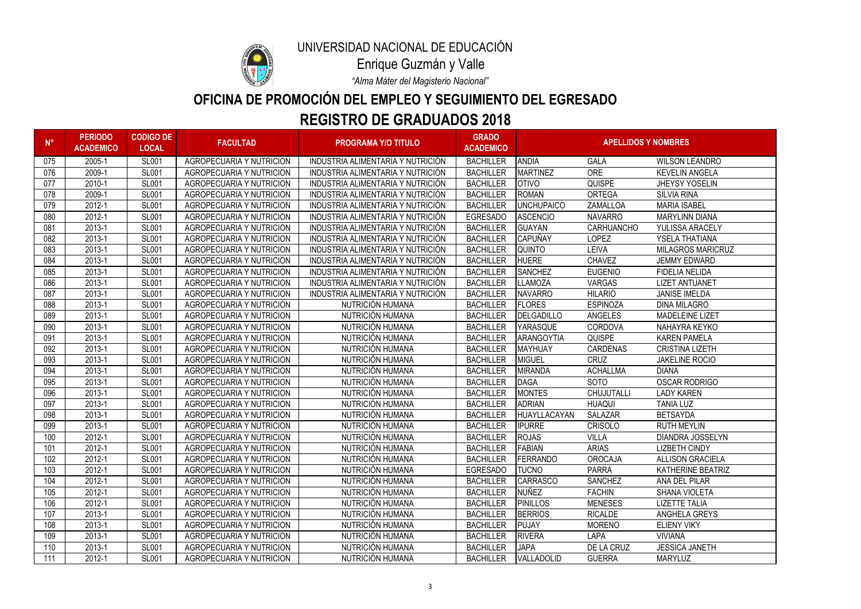

# **REGISTRO DE GRADUADOS 2018 OFICINA DE PROMOCIÓN DEL EMPLEO Y SEGUIMIENTO DEL EGRESADO**

*"Alma Máter del Magisterio Nacional"*

| $N^{\circ}$ | <b>PERIODO</b><br><b>ACADEMICO</b> | <b>CODIGO DE</b><br><b>LOCAL</b> | <b>FACULTAD</b>                 | <b>PROGRAMA Y/O TITULO</b>        | <b>GRADO</b><br><b>ACADEMICO</b> | <b>APELLIDOS Y NOMBRES</b> |                   |                          |
|-------------|------------------------------------|----------------------------------|---------------------------------|-----------------------------------|----------------------------------|----------------------------|-------------------|--------------------------|
| 075         | 2005-1                             | <b>SL001</b>                     | <b>AGROPECUARIA Y NUTRICION</b> | INDUSTRIA ALIMENTARIA Y NUTRICIÓN | <b>BACHILLER</b>                 | <b>ANDIA</b>               | <b>GALA</b>       | <b>WILSON LEANDRO</b>    |
| 076         | 2009-1                             | <b>SL001</b>                     | <b>AGROPECUARIA Y NUTRICION</b> | INDUSTRIA ALIMENTARIA Y NUTRICIÓN | <b>BACHILLER</b>                 | <b>MARTINEZ</b>            | <b>ORE</b>        | <b>KEVELIN ANGELA</b>    |
| 077         | 2010-1                             | <b>SL001</b>                     | <b>AGROPECUARIA Y NUTRICION</b> | INDUSTRIA ALIMENTARIA Y NUTRICIÓN | <b>BACHILLER</b>                 | <b>OTIVO</b>               | <b>QUISPE</b>     | <b>JHEYSY YOSELIN</b>    |
| 078         | 2009-1                             | <b>SL001</b>                     | <b>AGROPECUARIA Y NUTRICION</b> | INDUSTRIA ALIMENTARIA Y NUTRICIÓN | <b>BACHILLER</b>                 | <b>ROMAN</b>               | <b>ORTEGA</b>     | <b>SILVIA RINA</b>       |
| 079         | 2012-1                             | <b>SL001</b>                     | <b>AGROPECUARIA Y NUTRICION</b> | INDUSTRIA ALIMENTARIA Y NUTRICIÓN | <b>BACHILLER</b>                 | <b>JUNCHUPAICO</b>         | ZAMALLOA          | <b>MARIA ISABEL</b>      |
| 080         | 2012-1                             | <b>SL001</b>                     | <b>AGROPECUARIA Y NUTRICION</b> | INDUSTRIA ALIMENTARIA Y NUTRICIÓN | <b>EGRESADO</b>                  | <b>ASCENCIO</b>            | <b>NAVARRO</b>    | <b>MARYLINN DIANA</b>    |
| 081         | 2013-1                             | <b>SL001</b>                     | <b>AGROPECUARIA Y NUTRICION</b> | INDUSTRIA ALIMENTARIA Y NUTRICIÓN | <b>BACHILLER</b>                 | <b>GUAYAN</b>              | <b>CARHUANCHO</b> | YULISSA ARACELY          |
| 082         | 2013-1                             | <b>SL001</b>                     | <b>AGROPECUARIA Y NUTRICION</b> | INDUSTRIA ALIMENTARIA Y NUTRICIÓN | <b>BACHILLER</b>                 | <b>CAPUÑAY</b>             | <b>LOPEZ</b>      | YSELA THATIANA           |
| 083         | 2013-1                             | <b>SL001</b>                     | <b>AGROPECUARIA Y NUTRICION</b> | INDUSTRIA ALIMENTARIA Y NUTRICIÓN | <b>BACHILLER</b>                 | <b>QUINTO</b>              | <b>LEIVA</b>      | <b>MILAGROS MARICRUZ</b> |
| 084         | 2013-1                             | <b>SL001</b>                     | <b>AGROPECUARIA Y NUTRICION</b> | INDUSTRIA ALIMENTARIA Y NUTRICIÓN | <b>BACHILLER</b>                 | <b>HUERE</b>               | <b>CHAVEZ</b>     | <b>JEMMY EDWARD</b>      |
| 085         | 2013-1                             | <b>SL001</b>                     | <b>AGROPECUARIA Y NUTRICION</b> | INDUSTRIA ALIMENTARIA Y NUTRICIÓN | <b>BACHILLER</b>                 | <b>SANCHEZ</b>             | <b>EUGENIO</b>    | <b>FIDELIA NELIDA</b>    |
| 086         | 2013-1                             | <b>SL001</b>                     | <b>AGROPECUARIA Y NUTRICION</b> | INDUSTRIA ALIMENTARIA Y NUTRICIÓN | <b>BACHILLER</b>                 | LLAMOZA                    | <b>VARGAS</b>     | <b>LIZET ANTUANET</b>    |
| 087         | 2013-1                             | <b>SL001</b>                     | <b>AGROPECUARIA Y NUTRICION</b> | INDUSTRIA ALIMENTARIA Y NUTRICIÓN | <b>BACHILLER</b>                 | <b>NAVARRO</b>             | <b>HILARIO</b>    | <b>JANISE IMELDA</b>     |
| 088         | 2013-1                             | <b>SL001</b>                     | <b>AGROPECUARIA Y NUTRICION</b> | NUTRICIÓN HUMANA                  | <b>BACHILLER</b>                 | <b>FLORES</b>              | <b>ESPINOZA</b>   | <b>DINA MILAGRO</b>      |
| 089         | 2013-1                             | <b>SL001</b>                     | <b>AGROPECUARIA Y NUTRICION</b> | NUTRICIÓN HUMANA                  | <b>BACHILLER</b>                 | DELGADILLO                 | <b>ANGELES</b>    | <b>MADELEINE LIZET</b>   |
| 090         | 2013-1                             | <b>SL001</b>                     | <b>AGROPECUARIA Y NUTRICION</b> | NUTRICIÓN HUMANA                  | <b>BACHILLER</b>                 | <b>YARASQUE</b>            | <b>CORDOVA</b>    | NAHAYRA KEYKO            |
| 091         | 2013-1                             | <b>SL001</b>                     | <b>AGROPECUARIA Y NUTRICION</b> | NUTRICIÓN HUMANA                  | <b>BACHILLER</b>                 | <b>ARANGOYTIA</b>          | <b>QUISPE</b>     | <b>KAREN PAMELA</b>      |
| 092         | 2013-1                             | <b>SL001</b>                     | <b>AGROPECUARIA Y NUTRICION</b> | NUTRICIÓN HUMANA                  | <b>BACHILLER</b>                 | MAYHUAY                    | <b>CARDENAS</b>   | <b>CRISTINA LIZETH</b>   |
| 093         | 2013-1                             | <b>SL001</b>                     | <b>AGROPECUARIA Y NUTRICION</b> | NUTRICIÓN HUMANA                  | <b>BACHILLER</b>                 | MIGUEL                     | <b>CRUZ</b>       | <b>JAKELINE ROCIO</b>    |
| 094         | 2013-1                             | <b>SL001</b>                     | <b>AGROPECUARIA Y NUTRICION</b> | NUTRICIÓN HUMANA                  | <b>BACHILLER</b>                 | MIRANDA                    | <b>ACHALLMA</b>   | <b>DIANA</b>             |
| 095         | 2013-1                             | <b>SL001</b>                     | <b>AGROPECUARIA Y NUTRICION</b> | NUTRICIÓN HUMANA                  | <b>BACHILLER</b>                 | DAGA                       | <b>SOTO</b>       | <b>OSCAR RODRIGO</b>     |
| 096         | 2013-1                             | <b>SL001</b>                     | <b>AGROPECUARIA Y NUTRICION</b> | NUTRICIÓN HUMANA                  | <b>BACHILLER</b>                 | <b>MONTES</b>              | CHUJUTALLI        | <b>LADY KAREN</b>        |
| 097         | 2013-1                             | <b>SL001</b>                     | <b>AGROPECUARIA Y NUTRICION</b> | NUTRICIÓN HUMANA                  | <b>BACHILLER</b>                 | <b>ADRIAN</b>              | <b>HUAQUI</b>     | <b>TANIA LUZ</b>         |
| 098         | 2013-1                             | <b>SL001</b>                     | <b>AGROPECUARIA Y NUTRICION</b> | NUTRICIÓN HUMANA                  | <b>BACHILLER</b>                 | HUAYLLACAYAN               | <b>SALAZAR</b>    | <b>BETSAYDA</b>          |
| 099         | 2013-1                             | <b>SL001</b>                     | <b>AGROPECUARIA Y NUTRICION</b> | NUTRICIÓN HUMANA                  | <b>BACHILLER</b>                 | <b>IPURRE</b>              | <b>CRISOLO</b>    | <b>RUTH MEYLIN</b>       |
| 100         | 2012-1                             | <b>SL001</b>                     | <b>AGROPECUARIA Y NUTRICION</b> | NUTRICIÓN HUMANA                  | <b>BACHILLER</b>                 | <b>ROJAS</b>               | <b>VILLA</b>      | <b>DIANDRA JOSSELYN</b>  |
| 101         | 2012-1                             | <b>SL001</b>                     | <b>AGROPECUARIA Y NUTRICION</b> | NUTRICIÓN HUMANA                  | <b>BACHILLER</b>                 | FABIAN                     | <b>ARIAS</b>      | <b>LIZBETH CINDY</b>     |
| 102         | 2012-1                             | <b>SL001</b>                     | <b>AGROPECUARIA Y NUTRICION</b> | NUTRICIÓN HUMANA                  | <b>BACHILLER</b>                 | <b>FERRANDO</b>            | <b>OROCAJA</b>    | <b>ALLISON GRACIELA</b>  |
| 103         | 2012-1                             | <b>SL001</b>                     | AGROPECUARIA Y NUTRICION        | NUTRICIÓN HUMANA                  | <b>EGRESADO</b>                  | <b>TUCNO</b>               | <b>PARRA</b>      | KATHERINE BEATRIZ        |
| 104         | 2012-1                             | <b>SL001</b>                     | AGROPECUARIA Y NUTRICION        | NUTRICIÓN HUMANA                  | <b>BACHILLER</b>                 | <b>CARRASCO</b>            | <b>SANCHEZ</b>    | ANA DEL PILAR            |
| 105         | 2012-1                             | <b>SL001</b>                     | AGROPECUARIA Y NUTRICION        | NUTRICIÓN HUMANA                  | <b>BACHILLER</b>                 | <b>NUÑEZ</b>               | <b>FACHIN</b>     | SHANA VIOLETA            |
| 106         | 2012-1                             | <b>SL001</b>                     | AGROPECUARIA Y NUTRICION        | NUTRICIÓN HUMANA                  | <b>BACHILLER</b>                 | PINILLOS                   | <b>MENESES</b>    | <b>LIZETTE TALIA</b>     |
| 107         | 2013-1                             | <b>SL001</b>                     | AGROPECUARIA Y NUTRICION        | NUTRICIÓN HUMANA                  | <b>BACHILLER</b>                 | <b>BERRIOS</b>             | <b>RICALDE</b>    | ANGHELA GREYS            |
| 108         | 2013-1                             | <b>SL001</b>                     | AGROPECUARIA Y NUTRICION        | NUTRICIÓN HUMANA                  | <b>BACHILLER</b>                 | PUJAY                      | <b>MORENO</b>     | <b>ELIENY VIKY</b>       |
| 109         | 2013-1                             | <b>SL001</b>                     | <b>AGROPECUARIA Y NUTRICION</b> | NUTRICIÓN HUMANA                  | <b>BACHILLER</b>                 | <b>RIVERA</b>              | <b>LAPA</b>       | <b>VIVIANA</b>           |
| 110         | 2013-1                             | <b>SL001</b>                     | AGROPECUARIA Y NUTRICION        | NUTRICIÓN HUMANA                  | <b>BACHILLER</b>                 | <b>JAPA</b>                | DE LA CRUZ        | <b>JESSICA JANETH</b>    |
| 111         | 2012-1                             | <b>SL001</b>                     | <b>AGROPECUARIA Y NUTRICION</b> | NUTRICIÓN HUMANA                  | <b>BACHILLER</b>                 | VALLADOLID                 | <b>GUERRA</b>     | <b>MARYLUZ</b>           |